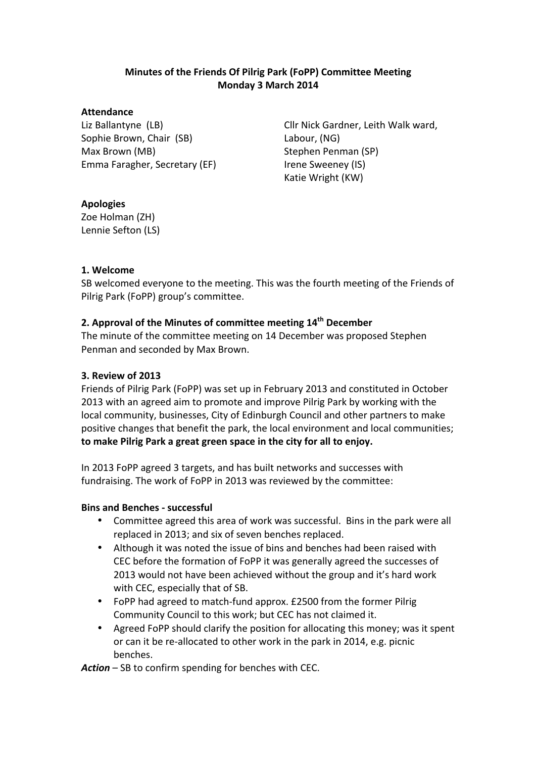## **Minutes of the Friends Of Pilrig Park (FoPP) Committee Meeting Monday 3 March 2014**

#### **Attendance**

Liz Ballantyne (LB) Sophie Brown, Chair (SB) Max Brown (MB) Emma Faragher, Secretary (EF)

Cllr Nick Gardner, Leith Walk ward, Labour, (NG) Stephen Penman (SP) Irene Sweeney (IS) Katie Wright (KW)

# **Apologies**

Zoe Holman (ZH) Lennie Sefton (LS)

## **1. Welcome**

SB welcomed everyone to the meeting. This was the fourth meeting of the Friends of Pilrig Park (FoPP) group's committee.

# **2. Approval of the Minutes of committee meeting 14th December**

The minute of the committee meeting on 14 December was proposed Stephen Penman and seconded by Max Brown.

## **3. Review of 2013**

Friends of Pilrig Park (FoPP) was set up in February 2013 and constituted in October 2013 with an agreed aim to promote and improve Pilrig Park by working with the local community, businesses, City of Edinburgh Council and other partners to make positive changes that benefit the park, the local environment and local communities; to make Pilrig Park a great green space in the city for all to enjoy.

In 2013 FoPP agreed 3 targets, and has built networks and successes with fundraising. The work of FoPP in 2013 was reviewed by the committee:

## **Bins and Benches - successful**

- Committee agreed this area of work was successful. Bins in the park were all replaced in 2013; and six of seven benches replaced.
- Although it was noted the issue of bins and benches had been raised with CEC before the formation of FoPP it was generally agreed the successes of 2013 would not have been achieved without the group and it's hard work with CEC, especially that of SB.
- FoPP had agreed to match-fund approx. £2500 from the former Pilrig Community Council to this work; but CEC has not claimed it.
- Agreed FoPP should clarify the position for allocating this money; was it spent or can it be re-allocated to other work in the park in 2014, e.g. picnic benches.

Action – SB to confirm spending for benches with CEC.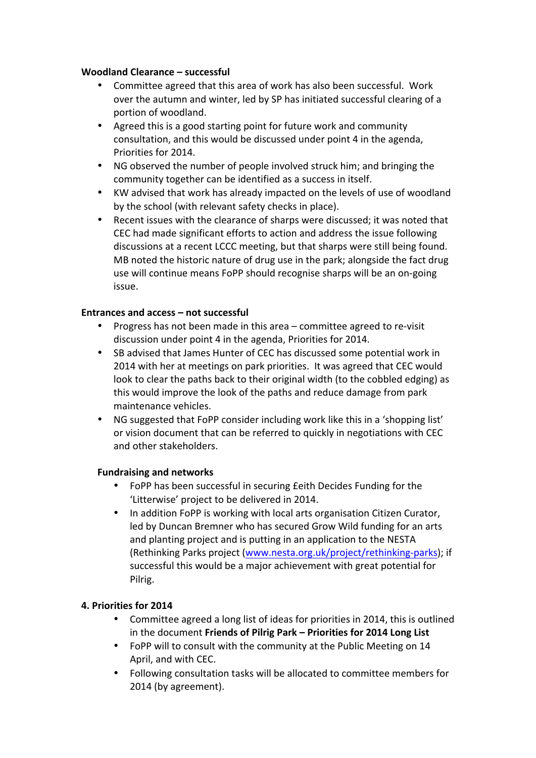### **Woodland Clearance – successful**

- Committee agreed that this area of work has also been successful. Work over the autumn and winter, led by SP has initiated successful clearing of a portion of woodland.
- Agreed this is a good starting point for future work and community consultation, and this would be discussed under point 4 in the agenda, Priorities for 2014.
- NG observed the number of people involved struck him; and bringing the community together can be identified as a success in itself.
- KW advised that work has already impacted on the levels of use of woodland by the school (with relevant safety checks in place).
- Recent issues with the clearance of sharps were discussed; it was noted that CEC had made significant efforts to action and address the issue following discussions at a recent LCCC meeting, but that sharps were still being found. MB noted the historic nature of drug use in the park; alongside the fact drug use will continue means FoPP should recognise sharps will be an on-going issue.

### **Entrances and access – not successful**

- Progress has not been made in this area committee agreed to re-visit discussion under point 4 in the agenda, Priorities for 2014.
- SB advised that James Hunter of CEC has discussed some potential work in 2014 with her at meetings on park priorities. It was agreed that CEC would look to clear the paths back to their original width (to the cobbled edging) as this would improve the look of the paths and reduce damage from park maintenance vehicles.
- NG suggested that FoPP consider including work like this in a 'shopping list' or vision document that can be referred to quickly in negotiations with CEC and other stakeholders.

## **Fundraising and networks**

- FoPP has been successful in securing feith Decides Funding for the 'Litterwise' project to be delivered in 2014.
- In addition FoPP is working with local arts organisation Citizen Curator, led by Duncan Bremner who has secured Grow Wild funding for an arts and planting project and is putting in an application to the NESTA (Rethinking Parks project (www.nesta.org.uk/project/rethinking-parks); if successful this would be a major achievement with great potential for Pilrig.

## **4. Priorities for 2014**

- Committee agreed a long list of ideas for priorities in 2014, this is outlined in the document Friends of Pilrig Park – Priorities for 2014 Long List
- FoPP will to consult with the community at the Public Meeting on 14 April, and with CEC.
- Following consultation tasks will be allocated to committee members for 2014 (by agreement).